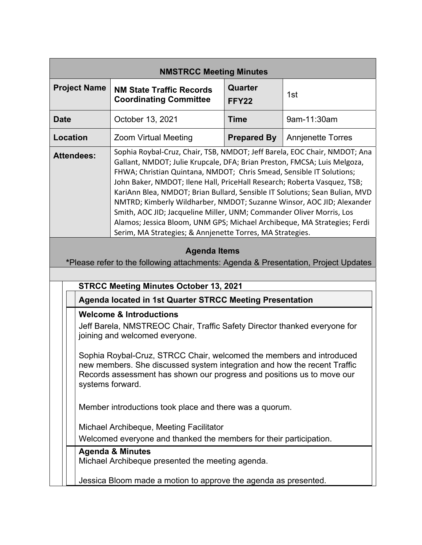| <b>NMSTRCC Meeting Minutes</b>                                                                                                                                                                                                                                                                                                                                                                                                                                                                                                                                                                                                                                                                          |                                                                                                                                                                                                                                                                                                                                                                                                     |                    |                          |  |
|---------------------------------------------------------------------------------------------------------------------------------------------------------------------------------------------------------------------------------------------------------------------------------------------------------------------------------------------------------------------------------------------------------------------------------------------------------------------------------------------------------------------------------------------------------------------------------------------------------------------------------------------------------------------------------------------------------|-----------------------------------------------------------------------------------------------------------------------------------------------------------------------------------------------------------------------------------------------------------------------------------------------------------------------------------------------------------------------------------------------------|--------------------|--------------------------|--|
| <b>Project Name</b>                                                                                                                                                                                                                                                                                                                                                                                                                                                                                                                                                                                                                                                                                     | <b>NM State Traffic Records</b><br><b>Coordinating Committee</b>                                                                                                                                                                                                                                                                                                                                    | Quarter<br>FFY22   | 1st                      |  |
| <b>Date</b>                                                                                                                                                                                                                                                                                                                                                                                                                                                                                                                                                                                                                                                                                             | October 13, 2021                                                                                                                                                                                                                                                                                                                                                                                    | <b>Time</b>        | 9am-11:30am              |  |
| Location                                                                                                                                                                                                                                                                                                                                                                                                                                                                                                                                                                                                                                                                                                | <b>Zoom Virtual Meeting</b>                                                                                                                                                                                                                                                                                                                                                                         | <b>Prepared By</b> | <b>Annjenette Torres</b> |  |
| Sophia Roybal-Cruz, Chair, TSB, NMDOT; Jeff Barela, EOC Chair, NMDOT; Ana<br><b>Attendees:</b><br>Gallant, NMDOT; Julie Krupcale, DFA; Brian Preston, FMCSA; Luis Melgoza,<br>FHWA; Christian Quintana, NMDOT; Chris Smead, Sensible IT Solutions;<br>John Baker, NMDOT; Ilene Hall, PriceHall Research; Roberta Vasquez, TSB;<br>KariAnn Blea, NMDOT; Brian Bullard, Sensible IT Solutions; Sean Bulian, MVD<br>NMTRD; Kimberly Wildharber, NMDOT; Suzanne Winsor, AOC JID; Alexander<br>Smith, AOC JID; Jacqueline Miller, UNM; Commander Oliver Morris, Los<br>Alamos; Jessica Bloom, UNM GPS; Michael Archibeque, MA Strategies; Ferdi<br>Serim, MA Strategies; & Annjenette Torres, MA Strategies. |                                                                                                                                                                                                                                                                                                                                                                                                     |                    |                          |  |
| <b>Agenda Items</b><br>*Please refer to the following attachments: Agenda & Presentation, Project Updates<br><b>STRCC Meeting Minutes October 13, 2021</b>                                                                                                                                                                                                                                                                                                                                                                                                                                                                                                                                              |                                                                                                                                                                                                                                                                                                                                                                                                     |                    |                          |  |
| Agenda located in 1st Quarter STRCC Meeting Presentation                                                                                                                                                                                                                                                                                                                                                                                                                                                                                                                                                                                                                                                |                                                                                                                                                                                                                                                                                                                                                                                                     |                    |                          |  |
|                                                                                                                                                                                                                                                                                                                                                                                                                                                                                                                                                                                                                                                                                                         | <b>Welcome &amp; Introductions</b><br>Jeff Barela, NMSTREOC Chair, Traffic Safety Director thanked everyone for<br>joining and welcomed everyone.<br>Sophia Roybal-Cruz, STRCC Chair, welcomed the members and introduced<br>new members. She discussed system integration and how the recent Traffic<br>Records assessment has shown our progress and positions us to move our<br>systems forward. |                    |                          |  |
| Member introductions took place and there was a quorum.<br>Michael Archibeque, Meeting Facilitator<br>Welcomed everyone and thanked the members for their participation.                                                                                                                                                                                                                                                                                                                                                                                                                                                                                                                                |                                                                                                                                                                                                                                                                                                                                                                                                     |                    |                          |  |
| <b>Agenda &amp; Minutes</b><br>Michael Archibeque presented the meeting agenda.<br>Jessica Bloom made a motion to approve the agenda as presented.                                                                                                                                                                                                                                                                                                                                                                                                                                                                                                                                                      |                                                                                                                                                                                                                                                                                                                                                                                                     |                    |                          |  |
|                                                                                                                                                                                                                                                                                                                                                                                                                                                                                                                                                                                                                                                                                                         |                                                                                                                                                                                                                                                                                                                                                                                                     |                    |                          |  |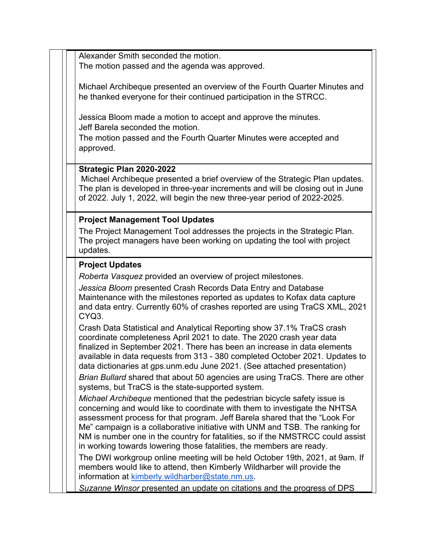Alexander Smith seconded the motion. The motion passed and the agenda was approved.

Michael Archibeque presented an overview of the Fourth Quarter Minutes and he thanked everyone for their continued participation in the STRCC.

Jessica Bloom made a motion to accept and approve the minutes. Jeff Barela seconded the motion.

The motion passed and the Fourth Quarter Minutes were accepted and approved.

## **Strategic Plan 2020-2022**

Michael Archibeque presented a brief overview of the Strategic Plan updates. The plan is developed in three-year increments and will be closing out in June of 2022. July 1, 2022, will begin the new three-year period of 2022-2025.

## **Project Management Tool Updates**

The Project Management Tool addresses the projects in the Strategic Plan. The project managers have been working on updating the tool with project updates.

## **Project Updates**

*Roberta Vasquez* provided an overview of project milestones.

*Jessica Bloom* presented Crash Records Data Entry and Database Maintenance with the milestones reported as updates to Kofax data capture and data entry. Currently 60% of crashes reported are using TraCS XML, 2021 CYQ3.

Crash Data Statistical and Analytical Reporting show 37.1% TraCS crash coordinate completeness April 2021 to date. The 2020 crash year data finalized in September 2021. There has been an increase in data elements available in data requests from 313 - 380 completed October 2021. Updates to data dictionaries at gps.unm.edu June 2021. (See attached presentation)

*Brian Bullard* shared that about 50 agencies are using TraCS. There are other systems, but TraCS is the state-supported system.

*Michael Archibeque* mentioned that the pedestrian bicycle safety issue is concerning and would like to coordinate with them to investigate the NHTSA assessment process for that program. Jeff Barela shared that the "Look For Me" campaign is a collaborative initiative with UNM and TSB. The ranking for NM is number one in the country for fatalities, so if the NMSTRCC could assist in working towards lowering those fatalities, the members are ready.

The DWI workgroup online meeting will be held October 19th, 2021, at 9am. If members would like to attend, then Kimberly Wildharber will provide the information at kimberly.wildharber@state.nm.us.

*Suzanne Winsor* presented an update on citations and the progress of DPS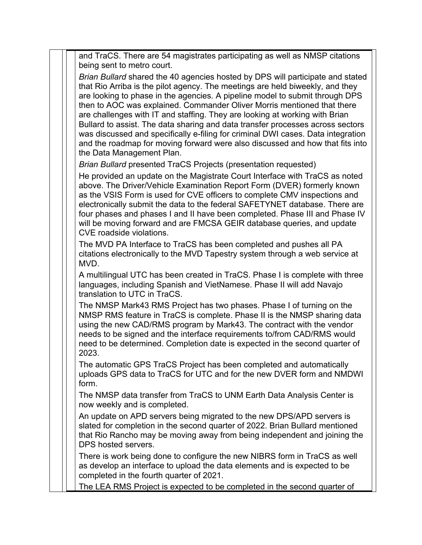and TraCS. There are 54 magistrates participating as well as NMSP citations being sent to metro court. *Brian Bullard* shared the 40 agencies hosted by DPS will participate and stated that Rio Arriba is the pilot agency. The meetings are held biweekly, and they are looking to phase in the agencies. A pipeline model to submit through DPS then to AOC was explained. Commander Oliver Morris mentioned that there are challenges with IT and staffing. They are looking at working with Brian Bullard to assist. The data sharing and data transfer processes across sectors was discussed and specifically e-filing for criminal DWI cases. Data integration and the roadmap for moving forward were also discussed and how that fits into the Data Management Plan. *Brian Bullard* presented TraCS Projects (presentation requested) He provided an update on the Magistrate Court Interface with TraCS as noted above. The Driver/Vehicle Examination Report Form (DVER) formerly known as the VSIS Form is used for CVE officers to complete CMV inspections and electronically submit the data to the federal SAFETYNET database. There are four phases and phases I and II have been completed. Phase III and Phase IV will be moving forward and are FMCSA GEIR database queries, and update CVE roadside violations. The MVD PA Interface to TraCS has been completed and pushes all PA citations electronically to the MVD Tapestry system through a web service at MVD. A multilingual UTC has been created in TraCS. Phase I is complete with three languages, including Spanish and VietNamese. Phase II will add Navajo translation to UTC in TraCS. The NMSP Mark43 RMS Project has two phases. Phase I of turning on the NMSP RMS feature in TraCS is complete. Phase II is the NMSP sharing data using the new CAD/RMS program by Mark43. The contract with the vendor needs to be signed and the interface requirements to/from CAD/RMS would need to be determined. Completion date is expected in the second quarter of 2023. The automatic GPS TraCS Project has been completed and automatically uploads GPS data to TraCS for UTC and for the new DVER form and NMDWI form. The NMSP data transfer from TraCS to UNM Earth Data Analysis Center is now weekly and is completed. An update on APD servers being migrated to the new DPS/APD servers is slated for completion in the second quarter of 2022. Brian Bullard mentioned that Rio Rancho may be moving away from being independent and joining the DPS hosted servers. There is work being done to configure the new NIBRS form in TraCS as well as develop an interface to upload the data elements and is expected to be completed in the fourth quarter of 2021. The LEA RMS Project is expected to be completed in the second quarter of